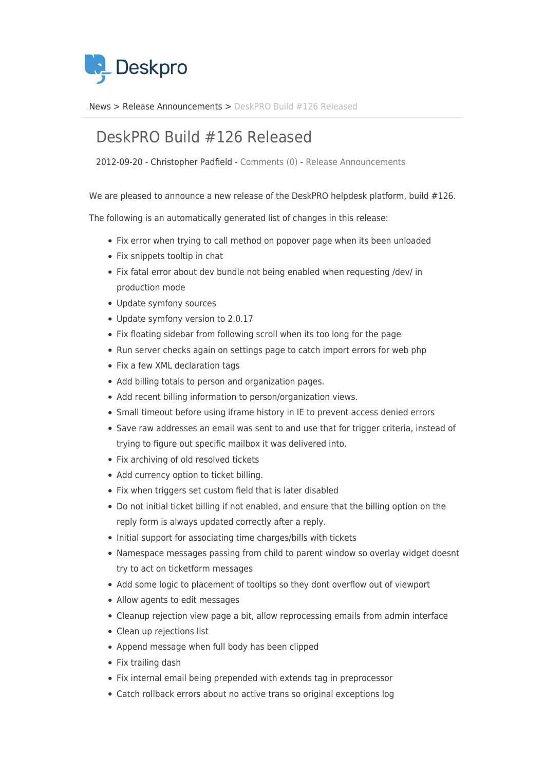

[News](https://support.deskpro.com/sv/news) > [Release Announcements](https://support.deskpro.com/sv/news/release-announcements) > [DeskPRO Build #126 Released](https://support.deskpro.com/sv/news/posts/deskpro-build-126-released)

## DeskPRO Build #126 Released

2012-09-20 - Christopher Padfield - [Comments \(0\)](#page--1-0) - [Release Announcements](https://support.deskpro.com/sv/news/release-announcements)

We are pleased to announce a new release of the DeskPRO helpdesk platform, build #126.

The following is an automatically generated list of changes in this release:

- Fix error when trying to call method on popover page when its been unloaded
- Fix snippets tooltip in chat
- Fix fatal error about dev bundle not being enabled when requesting /dev/ in production mode
- Update symfony sources
- Update symfony version to 2.0.17
- Fix floating sidebar from following scroll when its too long for the page
- Run server checks again on settings page to catch import errors for web php
- Fix a few XML declaration tags
- Add billing totals to person and organization pages.
- Add recent billing information to person/organization views.
- Small timeout before using iframe history in IE to prevent access denied errors
- Save raw addresses an email was sent to and use that for trigger criteria, instead of trying to figure out specific mailbox it was delivered into.
- Fix archiving of old resolved tickets
- Add currency option to ticket billing.
- Fix when triggers set custom field that is later disabled
- Do not initial ticket billing if not enabled, and ensure that the billing option on the reply form is always updated correctly after a reply.
- Initial support for associating time charges/bills with tickets
- Namespace messages passing from child to parent window so overlay widget doesnt try to act on ticketform messages
- Add some logic to placement of tooltips so they dont overflow out of viewport
- Allow agents to edit messages
- Cleanup rejection view page a bit, allow reprocessing emails from admin interface
- Clean up rejections list
- Append message when full body has been clipped
- Fix trailing dash
- Fix internal email being prepended with extends tag in preprocessor
- Catch rollback errors about no active trans so original exceptions log